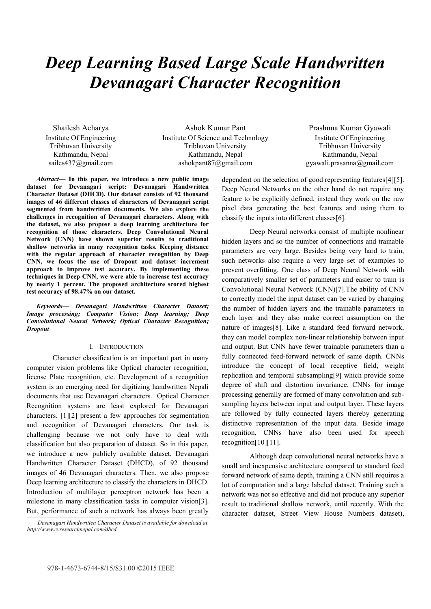# *Deep Learning Based Large Scale Handwritten Devanagari Character Recognition*

Shailesh Acharya Institute Of Engineering Tribhuvan University Kathmandu, Nepal sailes437@gmail.com

Ashok Kumar Pant Institute Of Science and Technology Tribhuvan University Kathmandu, Nepal ashokpant87@gmail.com

Prashnna Kumar Gyawali Institute Of Engineering Tribhuvan University Kathmandu, Nepal gyawali.prasanna@gmail.com

*Abstract***— In this paper, we introduce a new public image dataset for Devanagari script: Devanagari Handwritten Character Dataset (DHCD). Our dataset consists of 92 thousand images of 46 different classes of characters of Devanagari script segmented from handwritten documents. We also explore the challenges in recognition of Devanagari characters. Along with the dataset, we also propose a deep learning architecture for recognition of those characters. Deep Convolutional Neural Network (CNN) have shown superior results to traditional shallow networks in many recognition tasks. Keeping distance with the regular approach of character recognition by Deep CNN, we focus the use of Dropout and dataset increment approach to improve test accuracy. By implementing these techniques in Deep CNN, we were able to increase test accuracy by nearly 1 percent. The proposed architecture scored highest test accuracy of 98.47% on our dataset.**

*Keywords— Devanagari Handwritten Character Dataset; Image processing; Computer Vision; Deep learning; Deep Convolutional Neural Network; Optical Character Recognition; Dropout*

## I. INTRODUCTION

Character classification is an important part in many computer vision problems like Optical character recognition, license Plate recognition, etc. Development of a recognition system is an emerging need for digitizing handwritten Nepali documents that use Devanagari characters. Optical Character Recognition systems are least explored for Devanagari characters. [1][2] present a few approaches for segmentation and recognition of Devanagari characters. Our task is challenging because we not only have to deal with classification but also preparation of dataset. So in this paper, we introduce a new publicly available dataset, Devanagari Handwritten Character Dataset (DHCD), of 92 thousand images of 46 Devanagari characters. Then, we also propose Deep learning architecture to classify the characters in DHCD. Introduction of multilayer perceptron network has been a milestone in many classification tasks in computer vision[3]. But, performance of such a network has always been greatly dependent on the selection of good representing features<sup>[4][5]</sup>. Deep Neural Networks on the other hand do not require any feature to be explicitly defined, instead they work on the raw pixel data generating the best features and using them to classify the inputs into different classes[6].

Deep Neural networks consist of multiple nonlinear hidden layers and so the number of connections and trainable parameters are very large. Besides being very hard to train, such networks also require a very large set of examples to prevent overfitting. One class of Deep Neural Network with comparatively smaller set of parameters and easier to train is Convolutional Neural Network (CNN)[7].The ability of CNN to correctly model the input dataset can be varied by changing the number of hidden layers and the trainable parameters in each layer and they also make correct assumption on the nature of images[8]. Like a standard feed forward network, they can model complex non-linear relationship between input and output. But CNN have fewer trainable parameters than a fully connected feed-forward network of same depth. CNNs introduce the concept of local receptive field, weight replication and temporal subsampling[9] which provide some degree of shift and distortion invariance. CNNs for image processing generally are formed of many convolution and subsampling layers between input and output layer. These layers are followed by fully connected layers thereby generating distinctive representation of the input data. Beside image recognition, CNNs have also been used for speech recognition[10][11].

Although deep convolutional neural networks have a small and inexpensive architecture compared to standard feed forward network of same depth, training a CNN still requires a lot of computation and a large labeled dataset. Training such a network was not so effective and did not produce any superior result to traditional shallow network, until recently. With the character dataset, Street View House Numbers dataset),

*Devanagari Handwritten Character Dataset is available for download at http://www.cvresearchnepal.com/dhcd*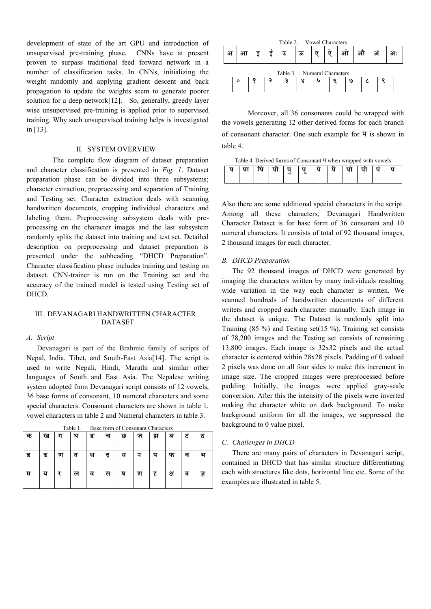development of state of the art GPU and introduction of unsupervised pre-training phase, CNNs have at present proven to surpass traditional feed forward network in a number of classification tasks. In CNNs, initializing the weight randomly and applying gradient descent and back propagation to update the weights seem to generate poorer solution for a deep network<sup>[12]</sup>. So, generally, greedy layer wise unsupervised pre-training is applied prior to supervised training. Why such unsupervised training helps is investigated in [13].

## II. SYSTEM OVERVIEW

The complete flow diagram of dataset preparation and character classification is presented in *Fig. 1*. Dataset preparation phase can be divided into three subsystems; character extraction, preprocessing and separation of Training and Testing set. Character extraction deals with scanning handwritten documents, cropping individual characters and labeling them. Preprocessing subsystem deals with preprocessing on the character images and the last subsystem randomly splits the dataset into training and test set. Detailed description on preprocessing and dataset preparation is presented under the subheading "DHCD Preparation". Character classification phase includes training and testing on dataset. CNN-trainer is run on the Training set and the accuracy of the trained model is tested using Testing set of DHCD.

# III. DEVANAGARI HANDWRITTEN CHARACTER DATASET

## *A. Script*

Devanagari is part of the Brahmic family of scripts of Nepal, India, Tibet, and South-East Asia[14]. The script is used to write Nepali, Hindi, Marathi and similar other languages of South and East Asia. The Nepalese writing system adopted from Devanagari script consists of 12 vowels, 36 base forms of consonant, 10 numeral characters and some special characters. Consonant characters are shown in table 1, vowel characters in table 2 and Numeral characters in table 3.

| Table 1. |  | Base form of Consonant Characters |  |
|----------|--|-----------------------------------|--|
|          |  |                                   |  |

| Table 1.<br>Base form of Consonant Characters |   |   |   |  |   |   |   |     |   |  |
|-----------------------------------------------|---|---|---|--|---|---|---|-----|---|--|
| е                                             |   |   | ङ |  | छ | আ |   | ञ   |   |  |
| ढ                                             | ण | त | थ |  | ध |   |   |     |   |  |
|                                               |   | ભ | ਰ |  |   | श | ह | श्ल | র |  |

| Table 2. Vowel Characters   |   |  |  |  |   |   |   |   |  |    |     |
|-----------------------------|---|--|--|--|---|---|---|---|--|----|-----|
| अ                           |   |  |  |  | ऊ | π |   | आ |  | अं | 3I: |
| Table 3. Numeral Characters |   |  |  |  |   |   |   |   |  |    |     |
|                             | Ω |  |  |  | ४ |   | ε | ७ |  |    |     |

Moreover, all 36 consonants could be wrapped with the vowels generating 12 other derived forms for each branch of consonant character. One such example for प is shown in table 4.

Table 4. Derived forms of Consonant प when wrapped with vowels

|--|

Also there are some additional special characters in the script. Among all these characters, Devanagari Handwritten Character Dataset is for base form of 36 consonant and 10 numeral characters. It consists of total of 92 thousand images, 2 thousand images for each character.

### *B. DHCD Preparation*

The 92 thousand images of DHCD were generated by imaging the characters written by many individuals resulting wide variation in the way each character is written. We scanned hundreds of handwritten documents of different writers and cropped each character manually. Each image in the dataset is unique. The Dataset is randomly split into Training (85 %) and Testing set(15 %). Training set consists of 78,200 images and the Testing set consists of remaining 13,800 images. Each image is 32x32 pixels and the actual character is centered within 28x28 pixels. Padding of 0 valued 2 pixels was done on all four sides to make this increment in image size. The cropped images were preprocessed before padding. Initially, the images were applied gray-scale conversion. After this the intensity of the pixels were inverted making the character white on dark background. To make background uniform for all the images, we suppressed the background to 0 value pixel.

### *C. Challenges in DHCD*

There are many pairs of characters in Devanagari script, contained in DHCD that has similar structure differentiating each with structures like dots, horizontal line etc. Some of the examples are illustrated in table 5.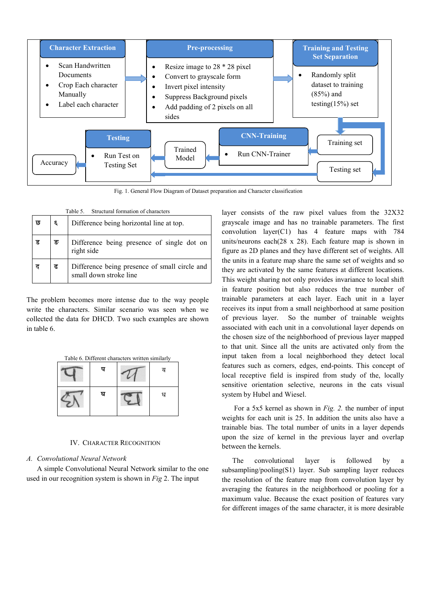

Fig. 1. General Flow Diagram of Dataset preparation and Character classification

| Table 5. Structural formation of characters |    |                                                                         |  |  |  |  |  |  |
|---------------------------------------------|----|-------------------------------------------------------------------------|--|--|--|--|--|--|
| छ                                           | ε  | Difference being horizontal line at top.                                |  |  |  |  |  |  |
| ड                                           | ्ङ | Difference being presence of single dot on<br>right side                |  |  |  |  |  |  |
|                                             | ढ  | Difference being presence of small circle and<br>small down stroke line |  |  |  |  |  |  |

The problem becomes more intense due to the way people write the characters. Similar scenario was seen when we collected the data for DHCD. Two such examples are shown in table 6.

| Table 6. Different characters written similarly |  |  |    |  |  |  |  |  |
|-------------------------------------------------|--|--|----|--|--|--|--|--|
|                                                 |  |  |    |  |  |  |  |  |
|                                                 |  |  | ۴Т |  |  |  |  |  |

## IV. CHARACTER RECOGNITION

## *A. Convolutional Neural Network*

A simple Convolutional Neural Network similar to the one used in our recognition system is shown in *Fig* 2. The input

layer consists of the raw pixel values from the 32X32 grayscale image and has no trainable parameters. The first convolution layer(C1) has 4 feature maps with 784 units/neurons each(28 x 28). Each feature map is shown in figure as 2D planes and they have different set of weights. All the units in a feature map share the same set of weights and so they are activated by the same features at different locations. This weight sharing not only provides invariance to local shift in feature position but also reduces the true number of trainable parameters at each layer. Each unit in a layer receives its input from a small neighborhood at same position of previous layer. So the number of trainable weights associated with each unit in a convolutional layer depends on the chosen size of the neighborhood of previous layer mapped to that unit. Since all the units are activated only from the input taken from a local neighborhood they detect local features such as corners, edges, end-points. This concept of local receptive field is inspired from study of the, locally sensitive orientation selective, neurons in the cats visual system by Hubel and Wiesel.

For a 5x5 kernel as shown in *Fig. 2.* the number of input weights for each unit is 25. In addition the units also have a trainable bias. The total number of units in a layer depends upon the size of kernel in the previous layer and overlap between the kernels.

The convolutional layer is followed by a subsampling/pooling(S1) layer. Sub sampling layer reduces the resolution of the feature map from convolution layer by averaging the features in the neighborhood or pooling for a maximum value. Because the exact position of features vary for different images of the same character, it is more desirable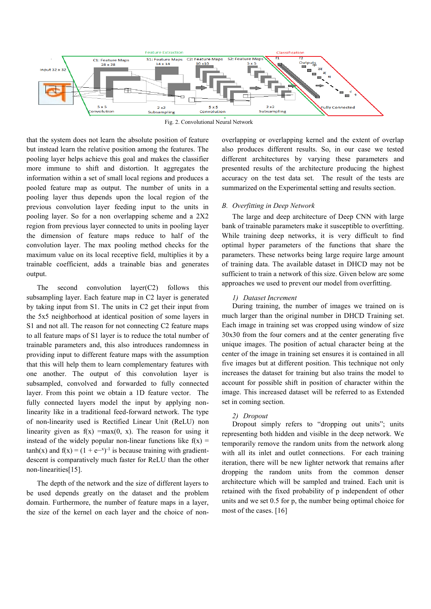

Fig. 2. Convolutional Neural Network

that the system does not learn the absolute position of feature but instead learn the relative position among the features. The pooling layer helps achieve this goal and makes the classifier more immune to shift and distortion. It aggregates the information within a set of small local regions and produces a pooled feature map as output. The number of units in a pooling layer thus depends upon the local region of the previous convolution layer feeding input to the units in pooling layer. So for a non overlapping scheme and a 2X2 region from previous layer connected to units in pooling layer the dimension of feature maps reduce to half of the convolution layer. The max pooling method checks for the maximum value on its local receptive field, multiplies it by a trainable coefficient, adds a trainable bias and generates output.

The second convolution layer(C2) follows this subsampling layer. Each feature map in C2 layer is generated by taking input from S1. The units in C2 get their input from the 5x5 neighborhood at identical position of some layers in S1 and not all. The reason for not connecting C2 feature maps to all feature maps of S1 layer is to reduce the total number of trainable parameters and, this also introduces randomness in providing input to different feature maps with the assumption that this will help them to learn complementary features with one another. The output of this convolution layer is subsampled, convolved and forwarded to fully connected layer. From this point we obtain a 1D feature vector. The fully connected layers model the input by applying nonlinearity like in a traditional feed-forward network. The type of non-linearity used is Rectified Linear Unit (ReLU) non linearity given as  $f(x) = max(0, x)$ . The reason for using it instead of the widely popular non-linear functions like  $f(x) =$  $tanh(x)$  and  $f(x) = (1 + e^{-x})^{-1}$  is because training with gradientdescent is comparatively much faster for ReLU than the other non-linearities[15].

The depth of the network and the size of different layers to be used depends greatly on the dataset and the problem domain. Furthermore, the number of feature maps in a layer, the size of the kernel on each layer and the choice of non-

overlapping or overlapping kernel and the extent of overlap also produces different results. So, in our case we tested different architectures by varying these parameters and presented results of the architecture producing the highest accuracy on the test data set. The result of the tests are summarized on the Experimental setting and results section.

## *B. Overfitting in Deep Network*

The large and deep architecture of Deep CNN with large bank of trainable parameters make it susceptible to overfitting. While training deep networks, it is very difficult to find optimal hyper parameters of the functions that share the parameters. These networks being large require large amount of training data. The available dataset in DHCD may not be sufficient to train a network of this size. Given below are some approaches we used to prevent our model from overfitting.

#### *1) Dataset Increment*

During training, the number of images we trained on is much larger than the original number in DHCD Training set. Each image in training set was cropped using window of size 30x30 from the four corners and at the center generating five unique images. The position of actual character being at the center of the image in training set ensures it is contained in all five images but at different position. This technique not only increases the dataset for training but also trains the model to account for possible shift in position of character within the image. This increased dataset will be referred to as Extended set in coming section.

#### *2) Dropout*

Dropout simply refers to "dropping out units"; units representing both hidden and visible in the deep network. We temporarily remove the random units from the network along with all its inlet and outlet connections. For each training iteration, there will be new lighter network that remains after dropping the random units from the common denser architecture which will be sampled and trained. Each unit is retained with the fixed probability of p independent of other units and we set 0.5 for p, the number being optimal choice for most of the cases. [16]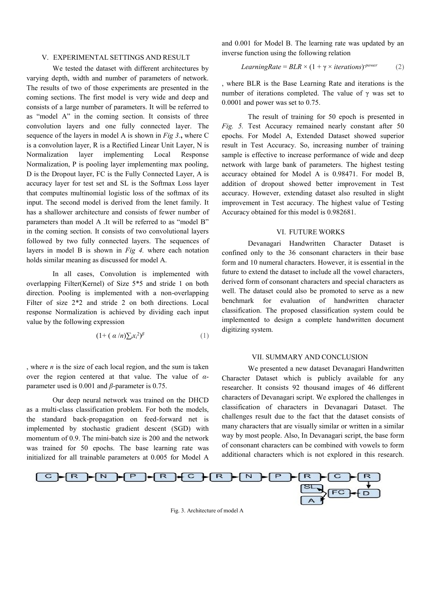#### V. EXPERIMENTAL SETTINGS AND RESULT

We tested the dataset with different architectures by varying depth, width and number of parameters of network. The results of two of those experiments are presented in the coming sections. The first model is very wide and deep and consists of a large number of parameters. It will be referred to as "model A" in the coming section. It consists of three convolution layers and one fully connected layer. The sequence of the layers in model A is shown in *Fig 3.***,** where C is a convolution layer, R is a Rectified Linear Unit Layer, N is Normalization layer implementing Local Response Normalization, P is pooling layer implementing max pooling, D is the Dropout layer, FC is the Fully Connected Layer, A is accuracy layer for test set and SL is the Softmax Loss layer that computes multinomial logistic loss of the softmax of its input. The second model is derived from the lenet family. It has a shallower architecture and consists of fewer number of parameters than model A .It will be referred to as "model B" in the coming section. It consists of two convolutional layers followed by two fully connected layers. The sequences of layers in model B is shown in *Fig 4.* where each notation holds similar meaning as discussed for model A.

In all cases, Convolution is implemented with overlapping Filter(Kernel) of Size 5\*5 and stride 1 on both direction. Pooling is implemented with a non-overlapping Filter of size 2\*2 and stride 2 on both directions. Local response Normalization is achieved by dividing each input value by the following expression

$$
(1 + (\alpha/n)\sum x_i^2)^\beta \tag{1}
$$

, where *n* is the size of each local region, and the sum is taken over the region centered at that value. The value of *α*parameter used is 0.001 and *β*-parameter is 0.75.

Our deep neural network was trained on the DHCD as a multi-class classification problem. For both the models, the standard back-propagation on feed-forward net is implemented by stochastic gradient descent (SGD) with momentum of 0.9. The mini-batch size is 200 and the network was trained for 50 epochs. The base learning rate was initialized for all trainable parameters at 0.005 for Model A

and 0.001 for Model B. The learning rate was updated by an inverse function using the following relation

*LearningRate = BLR* × 
$$
(1 + \gamma \times iterations)
$$
<sup>*power*</sup> (2)

, where BLR is the Base Learning Rate and iterations is the number of iterations completed. The value of γ was set to 0.0001 and power was set to 0.75.

The result of training for 50 epoch is presented in *Fig. 5.* Test Accuracy remained nearly constant after 50 epochs. For Model A, Extended Dataset showed superior result in Test Accuracy. So, increasing number of training sample is effective to increase performance of wide and deep network with large bank of parameters. The highest testing accuracy obtained for Model A is 0.98471. For model B, addition of dropout showed better improvement in Test accuracy. However, extending dataset also resulted in slight improvement in Test accuracy. The highest value of Testing Accuracy obtained for this model is 0.982681.

#### VI. FUTURE WORKS

Devanagari Handwritten Character Dataset is confined only to the 36 consonant characters in their base form and 10 numeral characters. However, it is essential in the future to extend the dataset to include all the vowel characters, derived form of consonant characters and special characters as well. The dataset could also be promoted to serve as a new benchmark for evaluation of handwritten character classification. The proposed classification system could be implemented to design a complete handwritten document digitizing system.

#### VII. SUMMARY AND CONCLUSION

We presented a new dataset Devanagari Handwritten Character Dataset which is publicly available for any researcher. It consists 92 thousand images of 46 different characters of Devanagari script. We explored the challenges in classification of characters in Devanagari Dataset. The challenges result due to the fact that the dataset consists of many characters that are visually similar or written in a similar way by most people. Also, In Devanagari script, the base form of consonant characters can be combined with vowels to form additional characters which is not explored in this research.



Fig. 3. Architecture of model A